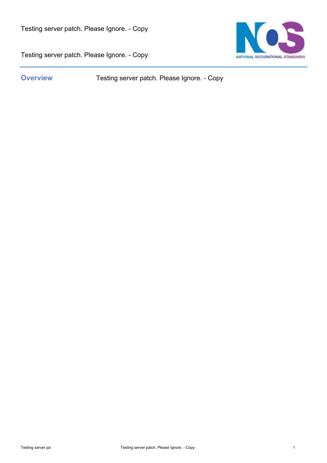

Testing server patch. Please Ignore. - Copy

**Overview** Testing server patch. Please Ignore. - Copy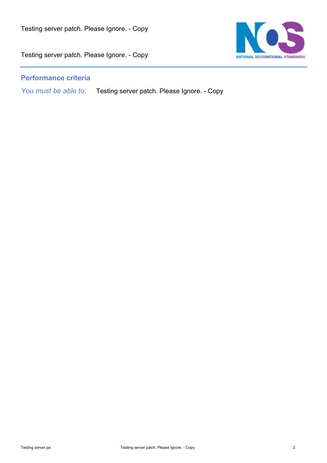

## **Performance criteria**

*You must be able to:* Testing server patch. Please Ignore. - Copy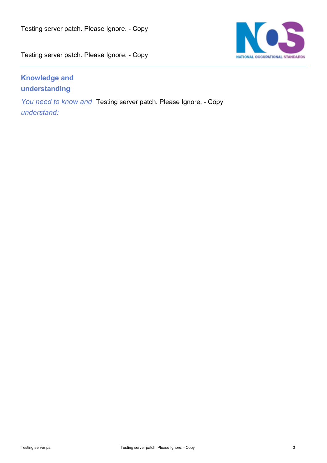

## **Knowledge and understanding**

*You need to know and* Testing server patch. Please Ignore. - Copy *understand:*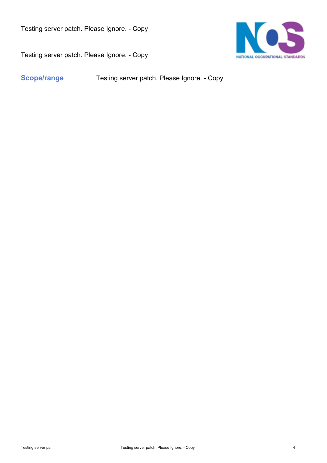

Testing server patch. Please Ignore. - Copy

**Scope/range** Testing server patch. Please Ignore. - Copy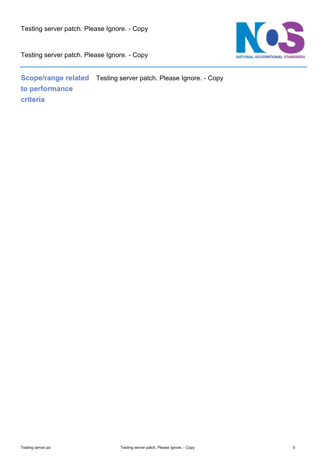

**Scope/range related** Testing server patch. Please Ignore. - Copy **to performance criteria**